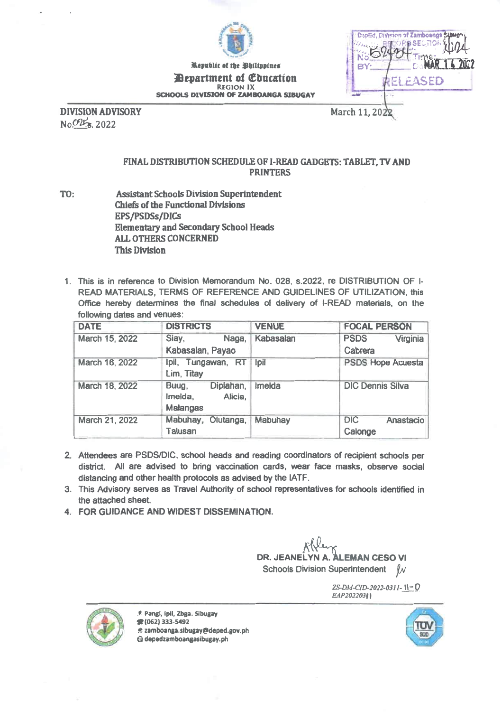

Republic of the Bhilippines *Aepartment of Education* REGION IX SCHOOLS DIVISION OF ZAMBOANGA SIBUGAY

DepEd. Division of Zamboanga Sibug **SECTION** Ķ, MAR 14 2022 BY: ELEASED aai

DIVISION ADVISORY March 11, 2022 N oP%s. 2022

## FINAL DISTRIBUTION SCHEDULE OF 1-READ GADGETS: TABLET, TV AND PRINTERS

- TO: Assistant Schools Division Superintendent Chiefs of the Functional Divisions EPS/PSDSs/DICs Elementary and Secondary School Heads ALL OTHERS CONCERNED This Division
- 1. This is in reference to Division Memorandum No. 028, s.2022, re DISTRIBUTION OF I-READ MATERIALS, TERMS OF REFERENCE AND GUIDELINES OF UTILIZATION, this Office hereby determines the final schedules of delivery of I-READ materials, on the following dates and venues:

| <b>DATE</b>    | <b>DISTRICTS</b>                                     | <b>VENUE</b> | <b>FOCAL PERSON</b>                |
|----------------|------------------------------------------------------|--------------|------------------------------------|
| March 15, 2022 | Naga,<br>Siay,                                       | Kabasalan    | <b>PSDS</b><br>Virginia            |
|                | Kabasalan, Payao                                     |              | Cabrera                            |
| March 16, 2022 | Ipil, Tungawan, RT<br>Lim, Titay                     | lpil         | <b>PSDS Hope Acuesta</b>           |
| March 18, 2022 | Diplahan,<br>Buug,<br>Alicia,<br>Imelda,<br>Malangas | Imelda       | <b>DIC Dennis Silva</b>            |
| March 21, 2022 | Mabuhay,<br>Olutanga,<br><b>Talusan</b>              | Mabuhay      | <b>DIC</b><br>Anastacio<br>Calonge |

- 2. Attendees are PSDS/DIC, school heads and reading coordinators of recipient schools per district. All are advised to bring vaccination cards, wear face masks, observe social distancing and other health protocols as advised by the IATF.
- 3. This Advisory serves as Travel Authority of school representatives for schools identified in the attached sheet.
- 4. FOR GUIDANCE AND WIDEST DISSEMINATION.

DR. JEANELYN A. ALEMAN CESO VI Schools Division Superintendent  $\mu$ 

> ZS-DM-CID-2022-0311- 11-0 EAP20220311



9 Pang', Ipil, 2bga. Sibugay (062) 333-5492 A zamboanga.sIbugay@deped.gov.ph Q depedzamboangasibugay.ph